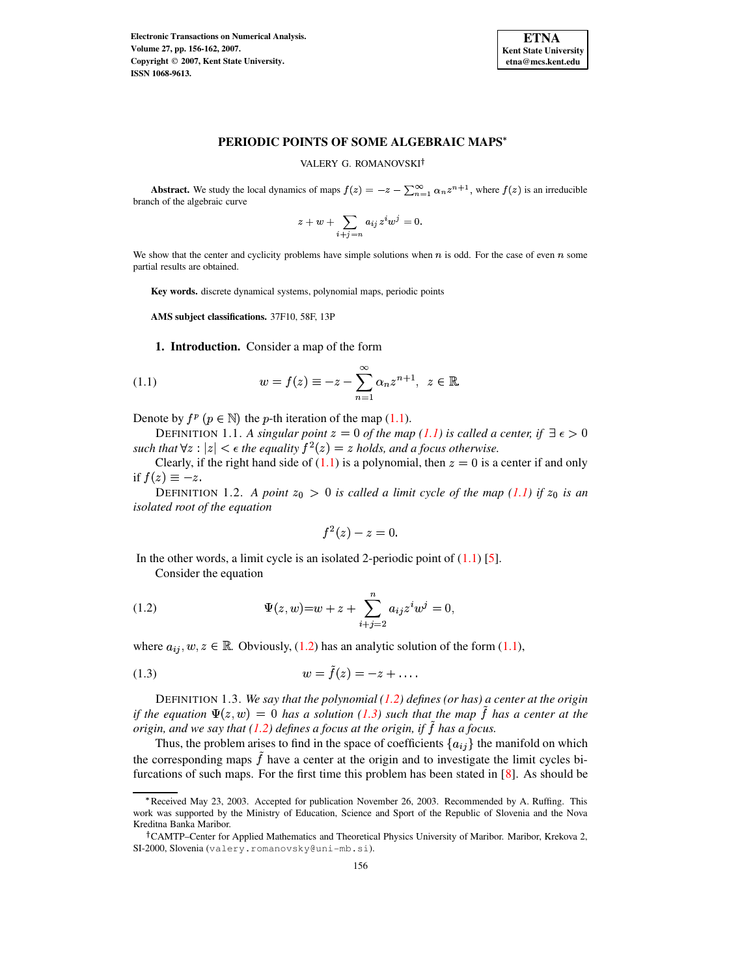

# **PERIODIC POINTS OF SOME ALGEBRAIC MAPS**

VALERY G. ROMANOVSKI

**Abstract.** We study the local dynamics of maps  $f(z) = -z - \sum_{n=1}^{\infty} \alpha_n z^{n+1}$ , where  $f(z)$  is an irreducible branch of the algebraic curve

$$
z+w+\sum_{i+j=n}a_{ij}z^iw^j=0.
$$

We show that the center and cyclicity problems have simple solutions when  $n$  is odd. For the case of even  $n$  some partial results are obtained.

**Key words.** discrete dynamical systems, polynomial maps, periodic points

**AMS subject classifications.** 37F10, 58F, 13P

<span id="page-0-0"></span>**1. Introduction.** Consider a map of the form

(1.1) 
$$
w = f(z) \equiv -z - \sum_{n=1}^{\infty} \alpha_n z^{n+1}, \ \ z \in \mathbb{R}.
$$

Denote by  $f^p$   $(p \in \mathbb{N})$  the *p*-th iteration of the map [\(1.1\)](#page-0-0).

**DEFINITION 1.1.** A singular point  $z = 0$  of the map [\(1.1\)](#page-0-0) is called a center, if  $\exists \epsilon > 0$ such that  $\forall z : |z| < \epsilon$  the equality  $f^2(z) = z$  holds, and a focus otherwise.

Clearly, if the right hand side of  $(1.1)$  is a polynomial, then  $z = 0$  is a center if and only if  $f(z) \equiv -z$ .

DEFINITION 1.2. A point  $z_0 > 0$  is called a limit cycle of the map [\(1.1\)](#page-0-0) if  $z_0$  is an *isolated root of the equation*

$$
f^2(z)-z=0.
$$

In the other words, a limit cycle is an isolated 2-periodic point of  $(1.1)$  [\[5\]](#page-6-0).

<span id="page-0-1"></span>Consider the equation

(1.2) 
$$
\Psi(z, w) = w + z + \sum_{i+j=2}^{n} a_{ij} z^{i} w^{j} = 0,
$$

where  $a_{ij}, w, z \in \mathbb{R}$ . Obviously, [\(1.2\)](#page-0-1) has an analytic solution of the form [\(1.1\)](#page-0-0),

<span id="page-0-2"></span>(1.3) 
$$
w = \tilde{f}(z) = -z + \dots
$$

DEFINITION 1.3. *We say that the polynomial [\(1.2\)](#page-0-1) defines (or has) a center at the origin if* the equation  $\Psi(z, w) = 0$  has a solution [\(1.3\)](#page-0-2) such that the map f has a center at the *origin, and we say that* [\(1.2\)](#page-0-1) *defines a focus at the origin, if* f has a focus.

Thus, the problem arises to find in the space of coefficients  $\{a_{ij}\}\$ the manifold on which the corresponding maps  $f$  have a center at the origin and to investigate the limit cycles bifurcations of such maps. For the first time this problem has been stated in [\[8\]](#page-6-1). As should be

<sup>\*</sup> Received May 23, 2003. Accepted for publication November 26, 2003. Recommended by A. Ruffing. This work was supported by the Ministry of Education, Science and Sport of the Republic of Slovenia and the Nova Kreditna Banka Maribor.

<sup>&</sup>lt;sup>†</sup>CAMTP–Center for Applied Mathematics and Theoretical Physics University of Maribor. Maribor, Krekova 2, SI-2000, Slovenia (valery.romanovsky@uni-mb.si).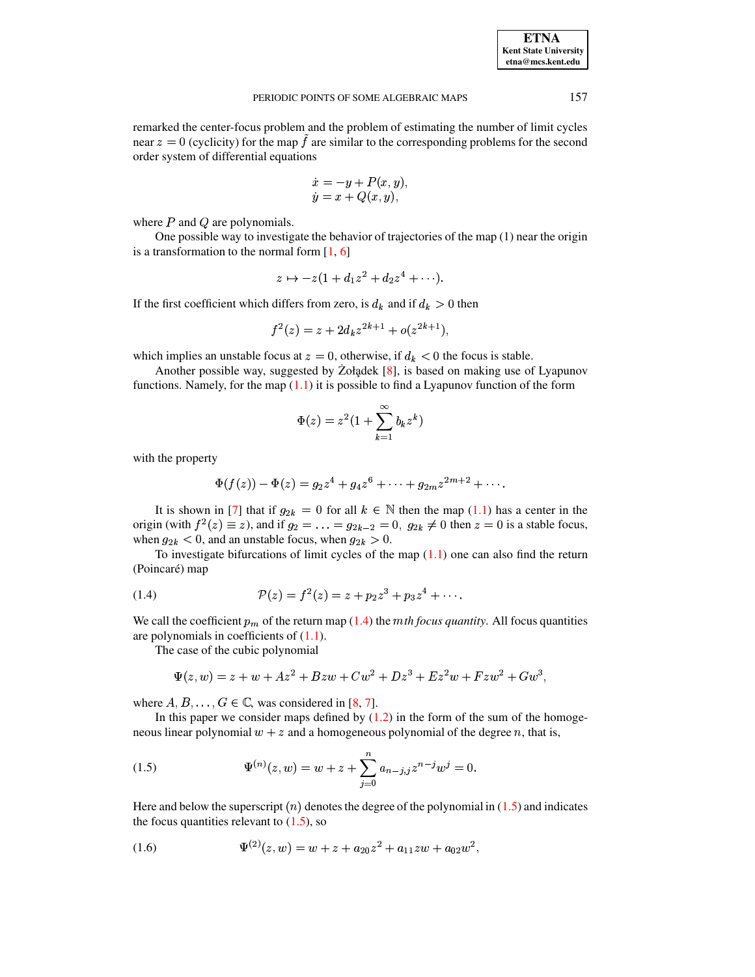### PERIODIC POINTS OF SOME ALGEBRAIC MAPS 157

remarked the center-focus problem and the problem of estimating the number of limit cycles near  $z = 0$  (cyclicity) for the map f are similar to the corresponding problems for the second order system of differential equations{

$$
\begin{array}{l} \dot{x} = -y + P(x,y), \\ \dot{y} = x + Q(x,y), \end{array}
$$

where  $P$  and  $Q$  are polynomials.

One possible way to investigate the behavior of trajectories of the map (1) near the origin is a transformation to the normal form  $[1, 6]$  $[1, 6]$  $[1, 6]$ 

$$
z\mapsto -z(1+d_1z^2+d_2z^4+\cdots).
$$

If the first coefficient which differs from zero, is  $d_k$  and if  $d_k > 0$  then

$$
f^{2}(z) = z + 2d_{k}z^{2k+1} + o(z^{2k+1}),
$$

which implies an unstable focus at  $z=0$ , otherwise, if  $d_k < 0$  the focus is stable.

Another possible way, suggested by Zołądek  $[8]$ , is based on making use of Lyapunov functions. Namely, for the map  $(1.1)$  it is possible to find a Lyapunov function of the form

$$
\Phi(z) = z^2 (1 + \sum_{k=1}^{\infty} b_k z^k)
$$

with the property

$$
\Phi(f(z)) - \Phi(z) = g_2 z^4 + g_4 z^6 + \dots + g_{2m} z^{2m+2} + \dots
$$

It is shown in [\[7\]](#page-6-4) that if  $g_{2k} = 0$  for all  $k \in \mathbb{N}$  then the map [\(1.1\)](#page-0-0) has a center in the origin (with  $f^2(z) \equiv z$ ), and if  $g_2 = \ldots = g_{2k-2} = 0$ ,  $g_{2k} \neq 0$  then  $z = 0$  is a stable focus, when  $g_{2k} < 0$ , and an unstable focus, when  $g_{2k} > 0$ .

To investigate bifurcations of limit cycles of the map  $(1.1)$  one can also find the return (Poincaré) map

<span id="page-1-0"></span>(1.4) 
$$
\mathcal{P}(z) = f^2(z) = z + p_2 z^3 + p_3 z^4 + \cdots
$$

We call the coefficient  $p_m$  of the return map [\(1.4\)](#page-1-0) the *mth focus quantity*. All focus quantities are polynomials in coefficients of  $(1.1)$ .

The case of the cubic polynomial

$$
\Psi(z, w) = z + w + Az^{2} + Bzw + Cw^{2} + Dz^{3} + Ez^{2}w + Fzw^{2} + Gw^{3},
$$

where  $A, B, \ldots, G \in \mathbb{C}$ , was considered in [\[8,](#page-6-1) [7\]](#page-6-4).

In this paper we consider maps defined by  $(1.2)$  in the form of the sum of the homogeneous linear polynomial  $w + z$  and a homogeneous polynomial of the degree n, that is,

<span id="page-1-1"></span>(1.5) 
$$
\Psi^{(n)}(z,w) = w + z + \sum_{j=0}^{n} a_{n-j,j} z^{n-j} w^j = 0.
$$

Here and below the superscript  $(n)$  denotes the degree of the polynomial in  $(1.5)$  and indicates the focus quantities relevant to  $(1.5)$ , so

<span id="page-1-2"></span>(1.6) 
$$
\Psi^{(2)}(z,w) = w + z + a_{20}z^2 + a_{11}zw + a_{02}w^2,
$$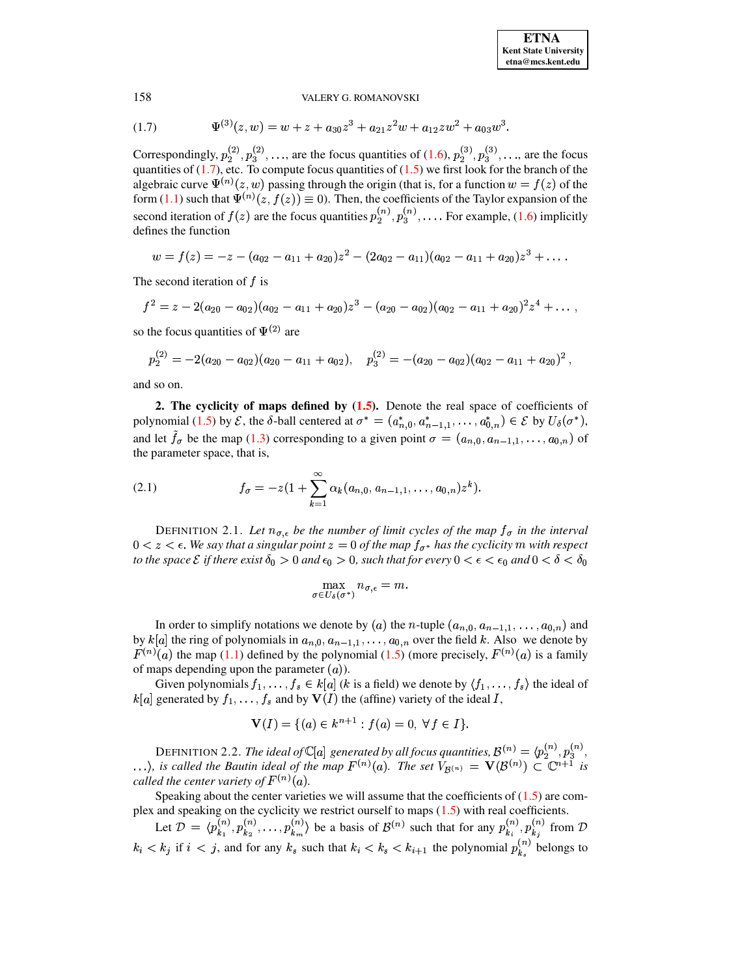#### 158 VALERY G. ROMANOVSKI

<span id="page-2-0"></span>(1.7) 
$$
\Psi^{(3)}(z,w) = w + z + a_{30}z^3 + a_{21}z^2w + a_{12}zw^2 + a_{03}w^3.
$$

Correspondingly,  $p_2^{(2)}, p_3^{(2)}, \ldots$ , are the focus quantities of  $(1.6)$ ,  $p_2^{(3)}, p_3^{(3)}, \ldots$ , are  $,p_3^{(2)},...,z$ , ..., are the focus quantities of [\(1.6\)](#page-1-2),  $p_2^{(3)}$ ,  $p_3^{(3)}$ , \_ \_ \_ \_  $(3)$ ¥  $, \ldots$ , are the focus quantities of  $(1.7)$ , etc. To compute focus quantities of  $(1.5)$  we first look for the branch of the algebraic curve  $\Psi^{(n)}(z, w)$  passing through the origin (that is, for a function  $w = f(z)$  of the form [\(1.1\)](#page-0-0) such that  $\Psi^{(n)}(z, f(z)) \equiv 0$ . Then, the coefficients of the Taylor expansion of the second iteration of  $f(z)$  are the focus quantities  $p_2^{(n)}, p_3^{(n)}$  $(p_3^{(n)}, \ldots$  For example, [\(1.6\)](#page-1-2) implicitly ¥ defines the function

$$
w = f(z) = -z - (a_{02} - a_{11} + a_{20})z^2 - (2a_{02} - a_{11})(a_{02} - a_{11} + a_{20})z^3 + \ldots
$$

The second iteration of  $f$  is

$$
f^2 = z - 2(a_{20} - a_{02})(a_{02} - a_{11} + a_{20})z^3 - (a_{20} - a_{02})(a_{02} - a_{11} + a_{20})^2z^4 + \ldots,
$$

so the focus quantities of  $\Psi^{(2)}$  are

$$
p_2^{(2)}=-2(a_{20}-a_{02})(a_{20}-a_{11}+a_{02}), \quad p_3^{(2)}=-(a_{20}-a_{02})(a_{02}-a_{11}+a_{20})^2\,,
$$

and so on.

**2. The cyclicity of maps defined by [\(1.5\)](#page-1-1).** Denote the real space of coefficients of polynomial [\(1.5\)](#page-1-1) by  $\mathcal{E}$ , the  $\delta$ -ball centered at  $\sigma^* = (a_{n,0}^*, a_{n-1,1}^*, \ldots, a_{0,n}^*) \in \mathcal{E}$  by  $U_{\delta}(\sigma^*)$ , and let  $f_{\sigma}$  be the map [\(1.3\)](#page-0-2) corresponding to a given point  $\sigma = (a_{n,0}, a_{n-1,1}, \ldots, a_{0,n})$  of the parameter space, that is,

<span id="page-2-1"></span>(2.1) 
$$
f_{\sigma} = -z(1+\sum_{k=1}^{\infty} \alpha_k(a_{n,0}, a_{n-1,1}, \ldots, a_{0,n})z^k).
$$

**DEFINITION** 2.1. Let  $n_{\sigma, \epsilon}$  be the number of limit cycles of the map  $f_{\sigma}$  in the interval  $0 < z < \epsilon$ . We say that a singular point  $z = 0$  of the map  $f_{\sigma^*}$  has the cyclicity  $m$  with respect  $t$ o the space  ${\cal E}$  if there exist  $\delta_0>0$  and  $\epsilon_0>0,$  such that for every  $0<\epsilon<\epsilon_0$  and  $0<\delta<\delta_0$ 

$$
\max_{\sigma\in U_{\delta}(\sigma^*)}n_{\sigma,\epsilon}=m.
$$

In order to simplify notations we denote by (*a*) the *n*-tuple  $(a_{n,0}, a_{n-1,1}, \ldots, a_{0,n})$  and by  $k[a]$  the ring of polynomials in  $a_{n,0}, a_{n-1,1}, \ldots, a_{0,n}$  over the field k. Also we denote by  $F^{(n)}(a)$  it a family  $F^{(n)}(a)$  the map [\(1.1\)](#page-0-0) defined by the polynomial [\(1.5\)](#page-1-1) (more precisely,  $F^{(n)}(a)$  is a family of maps depending upon the parameter  $(a)$ ).

Given polynomials  $f_1, \ldots, f_s \in k[a]$  (k is a field) we denote by  $\langle f_1, \ldots, f_s \rangle$  the ideal of  $U(I)$  the (affin  $k[a]$  generated by  $f_1, \ldots, f_s$  and by  $\mathbf{V}(I)$  the (affine) variety of the ideal  $I$ ,

$$
\mathbf{V}(I) = \{ (a) \in k^{n+1} : f(a) = 0, \forall f \in I \}.
$$

DEFINITION 2.2. *The ideal of*  $\mathbb{C}[a]$  generated by all focus quantities,  $\mathcal{B}^{(n)} = \langle p_2^{(n)}, p_3^{(n)}, \rangle$ <br>*is called the Bautin ideal of the man*  $F^{(n)}(a)$ *. <i>The set*  $V_{n(a)} = \mathbf{V}(\mathcal{B}^{(n)}) \subset \mathbb{C}^{n+1}$  *is*  $,p_3^{(n)},$  $\langle \ldots \rangle$ , is called the Bautin ideal of the map  $F^{(n)}(a)$ . The set  $V_{\mathcal{B}(n)} = \mathbf{V}(\mathcal{B}^{(n)}) \subset \mathbb{C}^{n+1}$  is *called the center variety of*  $F^{(n)}(a)$ *.* 

Speaking about the center varieties we will assume that the coefficients of  $(1.5)$  are complex and speaking on the cyclicity we restrict ourself to maps [\(1.5\)](#page-1-1) with real coefficients.

Let  $\mathcal{D} = \langle p_k^{(n)}, p_k^{(n)}, \ldots, p_k^{(n)} \rangle$  be a basis of  $\mathcal{B}^{(n)}$  such that for any  $p_k^{(n)}, p_k^{(n)}$  from  $\mathcal{D}$  $k_i < k_j$  if  $i < j$ , and for any  $k_s$  such that  $k_i < k_s < k_{i+1}$  the polynomial  $p_{k_s}^{(n)}$  belongs to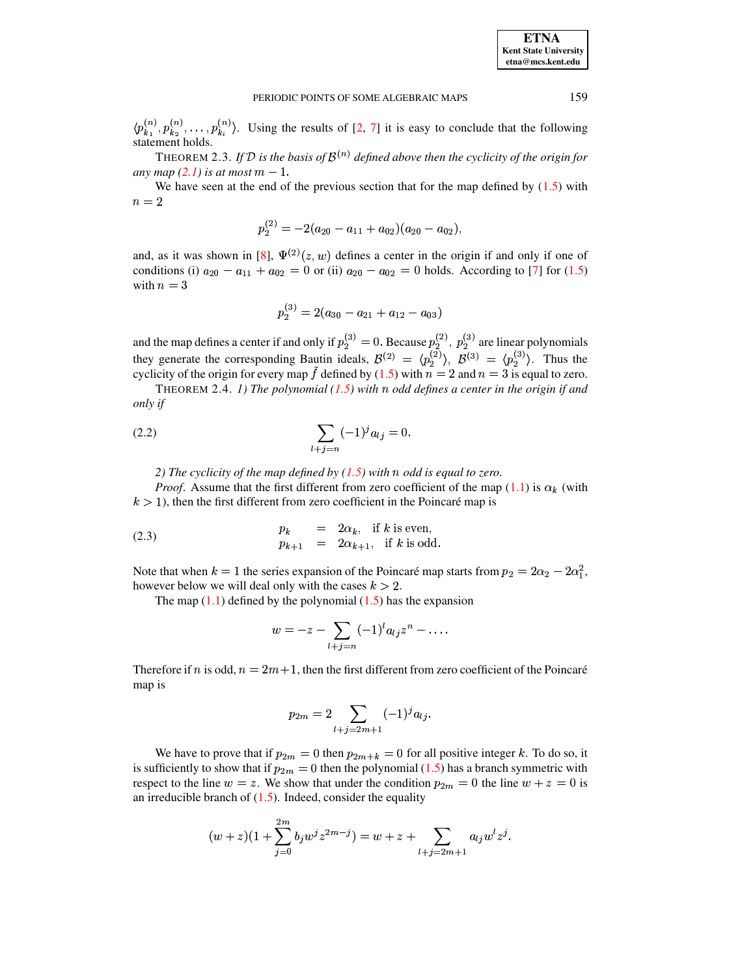<span id="page-3-1"></span> $\langle p_k^{(n)}, p_k^{(n)}, \ldots, p_k^{(n)} \rangle$ . Using the results of [\[2,](#page-6-5) [7\]](#page-6-4) it is easy to conclude that the following statement holds.

THEOREM 2.3. If  $\mathcal{D}$  is the basis of  $\mathcal{B}^{(n)}$  defined above then the cyclicity of the origin for *any map*  $(2.1)$  *is at most*  $m-1$ .

We have seen at the end of the previous section that for the map defined by  $(1.5)$  with  $n = 2$ 

$$
p_{2}^{(2)}=-2(a_{20}-a_{11}+a_{02})(a_{20}-a_{02}),\nonumber\\
$$

and, as it was shown in [\[8\]](#page-6-1),  $\Psi^{(2)}(z, w)$  defines a center in the origin if and only if one of conditions (i)  $a_{20} - a_{11} + a_{02} = 0$  or (ii)  $a_{20} - a_{02} = 0$  holds. According to [\[7\]](#page-6-4) for [\(1.5\)](#page-1-1) with  $n = 3$ 

$$
p_{2}^{(3)}=2(a_{30}-a_{21}+a_{12}-a_{03})\\
$$

and the map defines a center if and only if  $p_2^{(3)} = 0$ . Because  $p_2^{(2)}$ ,  $p_2^{(3)}$  $, p_2^{(3)}$  are linear polynomials they generate the corresponding Bautin ideals,  $\mathcal{B}^{(2)} = \langle p_2^{(2)} \rangle$ ,  $\mathcal{B}^{(3)} = \langle p_2^{(3)} \rangle$ . Thus  $\binom{5}{2}$ . Thus the cyclicity of the origin for every map f defined by  $(1.5)$  with  $n = 2$  and  $n = 3$  is equal to zero.

THEOREM 2.4. *1) The polynomial*  $(1.5)$  *with*  $n$  *odd defines a center in the origin if and only if*

(2.2) 
$$
\sum_{l+j=n} (-1)^j a_{lj} = 0.
$$

<span id="page-3-0"></span>*2) The cyclicity of the map defined by*  $(1.5)$  *with*  $n$  *odd is equal to zero.* 

*Proof.* Assume that the first different from zero coefficient of the map  $(1.1)$  is  $\alpha_k$  (with  $k > 1$ ), then the first different from zero coefficient in the Poincaré map is

<span id="page-3-2"></span>(2.3) 
$$
\begin{aligned}\np_k &= 2\alpha_k, & \text{if } k \text{ is even,} \\
p_{k+1} &= 2\alpha_{k+1}, & \text{if } k \text{ is odd.}\n\end{aligned}
$$

Note that when  $k = 1$  the series expansion of the Poincaré map starts from  $p_2 = 2\alpha_2 - 2\alpha_1^2$ ,<br>however halow we will dool only with the sesse  $k > 2$ however below we will deal only with the cases  $k > 2$ .

The map  $(1.1)$  defined by the polynomial  $(1.5)$  has the expansion

$$
w=-z-\sum_{l+j=n}(-1)^la_{lj}z^n-\ldots.
$$

Therefore if n is odd,  $n = 2m + 1$ , then the first different from zero coefficient of the Poincaré map is

$$
p_{2m} = 2 \sum_{l+j=2m+1} (-1)^j a_{lj}.
$$

We have to prove that if  $p_{2m} = 0$  then  $p_{2m+k} = 0$  for all positive integer k. To do so, it is sufficiently to show that if  $p_{2m} = 0$  then the polynomial [\(1.5\)](#page-1-1) has a branch symmetric with respect to the line  $w = z$ . We show that under the condition  $p_{2m} = 0$  the line  $w + z = 0$  is an irreducible branch of  $(1.5)$ . Indeed, consider the equality

$$
(w+z)(1+\sum_{j=0}^{2m}b_jw^jz^{2m-j})=w+z+\sum_{l+j=2m+1}a_{lj}w^lz^j.
$$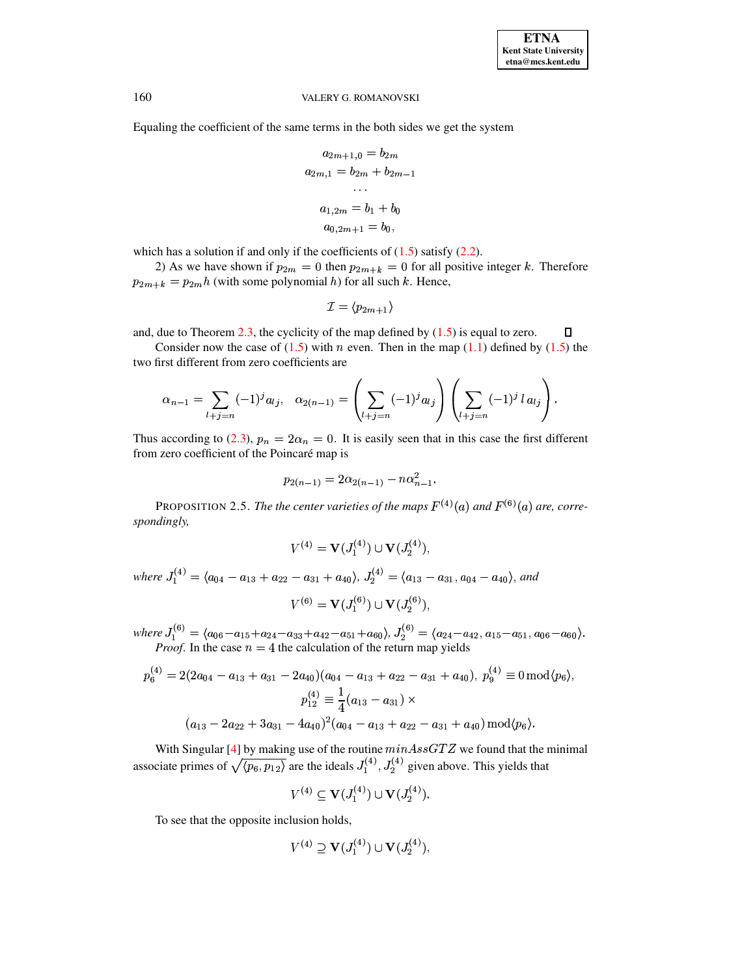#### VALERY G. ROMANOVSKI

Equaling the coefficient of the same terms in the both sides we get the system

$$
a_{2m+1,0} = b_{2m}
$$
  
\n
$$
a_{2m,1} = b_{2m} + b_{2m-1}
$$
  
\n...  
\n
$$
a_{1,2m} = b_1 + b_0
$$
  
\n
$$
a_{0,2m+1} = b_0,
$$

which has a solution if and only if the coefficients of  $(1.5)$  satisfy  $(2.2)$ .

2) As we have shown if  $p_{2m} = 0$  then  $p_{2m+k} = 0$  for all positive integer k. Therefore  $p_{2m+k} = p_{2m}h$  (with some polynomial h) for all such k. Hence,

$$
\mathcal{I}=\langle p_{2m+1}\rangle
$$

and, due to Theorem  $2.3$ , the cyclicity of the map defined by  $(1.5)$  is equal to zero.  $\Box$ 

Consider now the case of  $(1.5)$  with *n* even. Then in the map  $(1.1)$  defined by  $(1.5)$  the two first different from zero coefficients are

$$
\alpha_{n-1} = \sum_{l+j=n} (-1)^j a_{lj}, \quad \alpha_{2(n-1)} = \left(\sum_{l+j=n} (-1)^j a_{lj}\right) \left(\sum_{l+j=n} (-1)^j l a_{lj}\right).
$$

Thus according to (2.3),  $p_n = 2\alpha_n = 0$ . It is easily seen that in this case the first different from zero coefficient of the Poincaré map is

$$
p_{2(n-1)} = 2\alpha_{2(n-1)} - n\alpha_{n-1}^2.
$$

<span id="page-4-0"></span>PROPOSITION 2.5. The the center varieties of the maps  $F^{(4)}(a)$  and  $F^{(6)}(a)$  are, correspondingly,

$$
V^{(4)} = \mathbf{V}(J_1^{(4)}) \cup \mathbf{V}(J_2^{(4)})
$$

where  $J_1^{(4)} = \langle a_{04} - a_{13} + a_{22} - a_{31} + a_{40} \rangle$ ,  $J_2^{(4)} = \langle a_{13} - a_{31}, a_{04} - a_{40} \rangle$ , and  $V^{(6)} = V(J_1^{(6)}) \cup V(J_2^{(6)}),$ 

where  $J_1^{(6)} = \langle a_{06} - a_{15} + a_{24} - a_{33} + a_{42} - a_{51} + a_{60} \rangle$ ,  $J_2^{(6)} = \langle a_{24} - a_{42}, a_{15} - a_{51}, a_{06} - a_{60} \rangle$ .<br>*Proof.* In the case  $n = 4$  the calculation of the return map yields

$$
p_6^{(4)} = 2(2a_{04} - a_{13} + a_{31} - 2a_{40})(a_{04} - a_{13} + a_{22} - a_{31} + a_{40}), p_9^{(4)} \equiv 0 \mod (p_6),
$$
  

$$
p_{12}^{(4)} \equiv \frac{1}{4}(a_{13} - a_{31}) \times
$$
  

$$
(a_{13} - 2a_{22} + 3a_{31} - 4a_{40})^2(a_{04} - a_{13} + a_{22} - a_{31} + a_{40}) \mod (p_6).
$$

With Singular [4] by making use of the routine  $minAssGTZ$  we found that the minimal associate primes of  $\sqrt{\langle p_6, p_{12} \rangle}$  are the ideals  $J_1^{(4)}$ ,  $J_2^{(4)}$  given above. This yields that

$$
V^{(4)} \subseteq \mathbf{V}(J_1^{(4)}) \cup \mathbf{V}(J_2^{(4)}).
$$

To see that the opposite inclusion holds,

$$
V^{(4)} \supseteq \mathbf{V}(J_1^{(4)}) \cup \mathbf{V}(J_2^{(4)}),
$$

160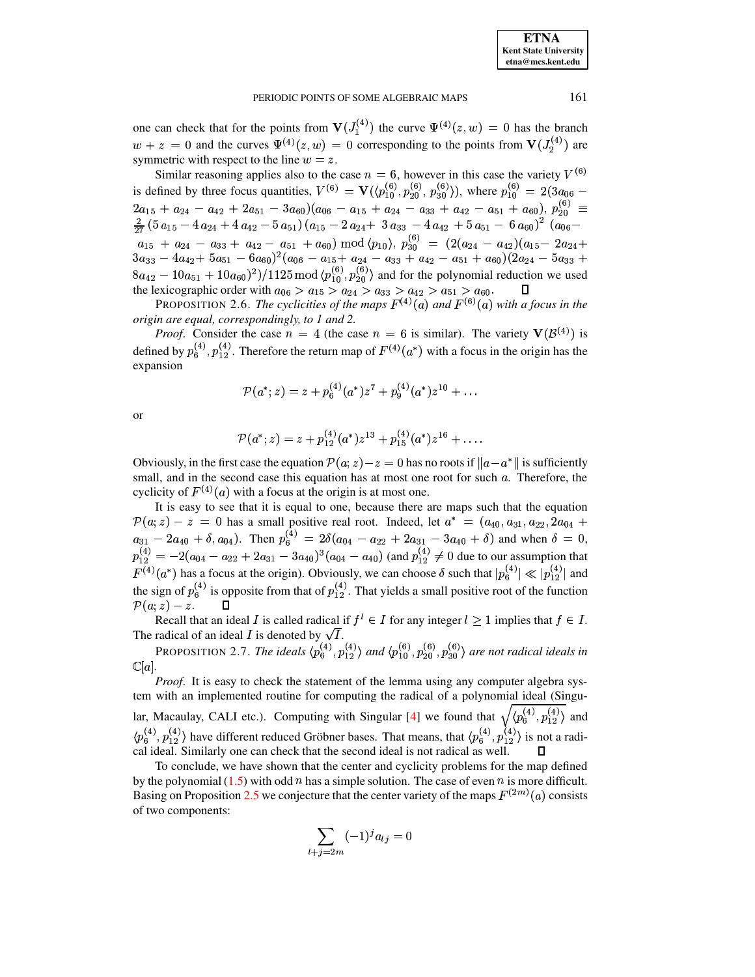**ETNA Kent State University** etna@mcs.kent.edu

#### PERIODIC POINTS OF SOME ALGEBRAIC MAPS

one can check that for the points from  $V(J_1^{(4)})$  the curve  $\Psi^{(4)}(z,w) = 0$  has the branch  $w + z = 0$  and the curves  $\Psi^{(4)}(z, w) = 0$  corresponding to the points from  $V(J_2^{(4)})$  are symmetric with respect to the line  $w = z$ .

Similar reasoning applies also to the case  $n = 6$ , however in this case the variety  $V^{(6)}$ is defined by three focus quantities,  $V^{(6)} = V(\langle p_{10}^{(6)}, p_{20}^{(6)}, p_{30}^{(6)} \rangle)$ , where  $p_{10}^{(6)} = 2(3a_{06} 2a_{15} + a_{24} - a_{42} + 2a_{51} - 3a_{60})(a_{06} - a_{15} + a_{24} - a_{33} + a_{42} - a_{51} + a_{60}), p_{20}^{(6)} \equiv$  $\frac{2}{27} \left(5 a_{15} - 4 a_{24} + 4 a_{42} - 5 a_{51}\right) \left(a_{15} - 2 a_{24} + 3 a_{33} - 4 a_{42} + 5 a_{51} - 6 a_{60}\right)^2 \left(a_{06} - a_{15} + a_{24} - a_{33} + a_{42} - a_{51} + a_{60}\right) \text{ mod } \langle p_{10} \rangle, p_{30}^{(6)} = \left(2(a_{24} - a_{42})(a_{15} - 2 a_{24} + 3 a_{33} - 4 a_{42} + 5 a_{51} - 6 a_{$  $8a_{42} - 10a_{51} + 10a_{60})^2$  /1125 mod  $\langle p_{10}^{(6)}, p_{20}^{(6)} \rangle$  and for the polynomial reduction we used the lexicographic order with  $a_{06} > a_{15} > a_{24} > a_{33} > a_{42} > a_{51} > a_{60}$ .

**PROPOSITION 2.6.** The cyclicities of the maps  $F^{(4)}(a)$  and  $F^{(6)}(a)$  with a focus in the origin are equal, correspondingly, to 1 and 2.

*Proof.* Consider the case  $n = 4$  (the case  $n = 6$  is similar). The variety  $V(\mathcal{B}^{(4)})$  is defined by  $p_6^{(4)}$ ,  $p_{12}^{(4)}$ . Therefore the return map of  $F^{(4)}(a^*)$  with a focus in the origin has the expansion

$$
\mathcal{P}(a^*; z) = z + p_6^{(4)}(a^*)z^7 + p_9^{(4)}(a^*)z^{10} + \dots
$$

or

$$
\mathcal{P}(a^*; z) = z + p_{12}^{(4)}(a^*)z^{13} + p_{15}^{(4)}(a^*)z^{16} + \ldots
$$

Obviously, in the first case the equation  $\mathcal{P}(a; z) - z = 0$  has no roots if  $||a - a^*||$  is sufficiently small, and in the second case this equation has at most one root for such  $a$ . Therefore, the cyclicity of  $F^{(4)}(a)$  with a focus at the origin is at most one.

It is easy to see that it is equal to one, because there are maps such that the equation  $\mathcal{P}(a;z) - z = 0$  has a small positive real root. Indeed, let  $a^* = (a_{40}, a_{31}, a_{22}, 2a_{04} + z)$  $a_{31} - 2a_{40} + \delta, a_{04}$ . Then  $p_6^{(4)} = 2\delta(a_{04} - a_{22} + 2a_{31} - 3a_{40} + \delta)$  and when  $\delta = 0$ ,  $p_{12}^{(4)} = -2(a_{04} - a_{22} + 2a_{31} - 3a_{40})^3(a_{04} - a_{40})$  (and  $p_{12}^{(4)} \neq 0$  due to our assumption that  $F^{(4)}(a^*)$  has a focus at the origin). Obviously, we can choose  $\delta$  such that  $|p_6^{(4)}| \ll |p_{12}^{(4)}|$  and the sign of  $p_6^{(4)}$  is opposite from that of  $p_{12}^{(4)}$ . That yields a small positive root of the function  $\mathcal{P}(a;z) - z.$ 

Recall that an ideal I is called radical if  $f^l \in I$  for any integer  $l \geq 1$  implies that  $f \in I$ . The radical of an ideal I is denoted by  $\sqrt{I}$ .

<span id="page-5-0"></span>PROPOSITION 2.7. The ideals  $\langle p_6^{(4)}, p_{12}^{(4)} \rangle$  and  $\langle p_{10}^{(6)}, p_{20}^{(6)}, p_{30}^{(6)} \rangle$  are not radical ideals in  $\mathbb{C}[a]$ 

*Proof.* It is easy to check the statement of the lemma using any computer algebra system with an implemented routine for computing the radical of a polynomial ideal (Singular, Macaulay, CALI etc.). Computing with Singular [4] we found that  $\sqrt{\langle p_6^{(4)}, p_{12}^{(4)}\rangle}$  and  $\langle p_6^{(4)}, p_{12}^{(4)} \rangle$  have different reduced Gröbner bases. That means, that  $\langle p_6^{(4)}, p_{12}^{(4)} \rangle$  is not a radical ideal. Similarly one can check that the second ideal is not radical as well.

To conclude, we have shown that the center and cyclicity problems for the map defined by the polynomial  $(1.5)$  with odd *n* has a simple solution. The case of even *n* is more difficult. Basing on Proposition 2.5 we conjecture that the center variety of the maps  $F^{(2m)}(a)$  consists of two components:

$$
\sum_{l+j=2m} (-1)^j a_{lj} = 0
$$

161